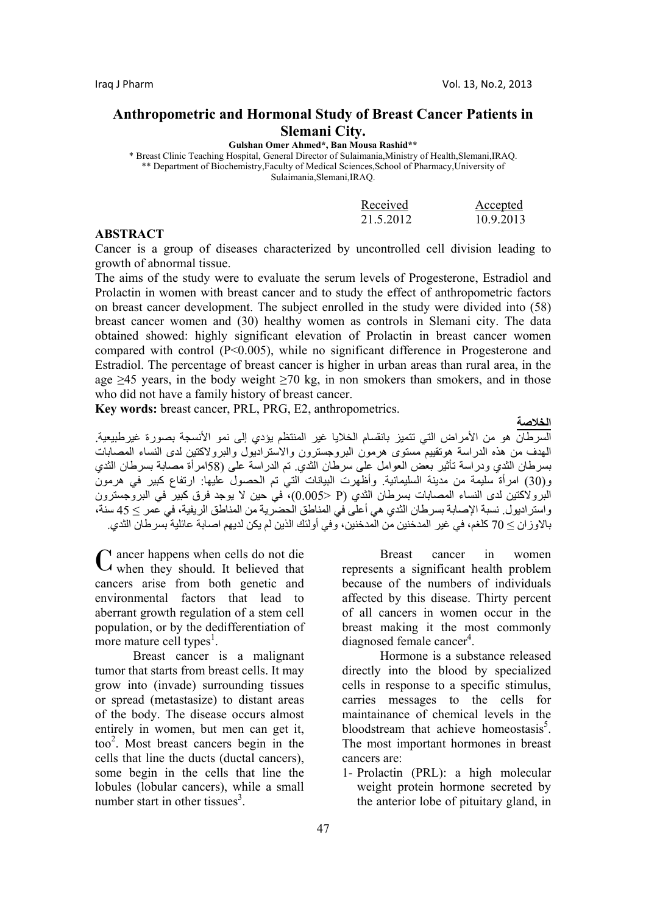# **Anthropometric and Hormonal Study of Breast Cancer Patients in Slemani City.**

**Gulshan Omer Ahmed\*, Ban Mousa Rashid\*\*** 

\* Breast Clinic Teaching Hospital, General Director of Sulaimania,Ministry of Health,Slemani,IRAQ. \*\* Department of Biochemistry,Faculty of Medical Sciences,School of Pharmacy,University of Sulaimania,Slemani,IRAQ.

| Received  | Accepted  |
|-----------|-----------|
| 21.5.2012 | 10.9.2013 |

## **ABSTRACT**

Cancer is a group of diseases characterized by uncontrolled cell division leading to growth of abnormal tissue.

The aims of the study were to evaluate the serum levels of Progesterone, Estradiol and Prolactin in women with breast cancer and to study the effect of anthropometric factors on breast cancer development. The subject enrolled in the study were divided into (58) breast cancer women and (30) healthy women as controls in Slemani city. The data obtained showed: highly significant elevation of Prolactin in breast cancer women compared with control (P<0.005), while no significant difference in Progesterone and Estradiol. The percentage of breast cancer is higher in urban areas than rural area, in the age  $>45$  years, in the body weight  $>70$  kg, in non smokers than smokers, and in those who did not have a family history of breast cancer.

**Key words:** breast cancer, PRL, PRG, E2, anthropometrics.

**الخلاصة**  السرطان هو من الأمراض التي تتميز بانقسام الخلايا غير المنتظم يؤدي إلى نمو الأنسجة بصورة غيرطبيعية. الهدف من هذه الدراسة هوتقييم مستوى هرمون البروجسترون والاستراديول والبرولاآتين لدى النساء المصابات بسرطان الثدي ودراسة تأثير بعض العوامل على سرطان الثدي. تم الدراسة على (58امرأة مصابة بسرطان الثدي و(30) امرأة سليمة من مدينة السليمانية. وأظهّرت البيّانات التي تم الحصول عليها: ارتفاع كبير في هرمون البرولاكتين لدى النساء المصابات بسرطان الثدي (P <0.005)، في حين لا يوجد فرق كبير في البروجسترون واستراديول. نسبة الإصابة بسرطان الثدي هي أعلى في المناطق الحضرية من المناطق الريفية، في عمر ≥ 45 سنة، بالاوزان ≥ 70 آلغم، في غير المدخنين من المدخنين، وفي أولئك الذين لم يكن لديهم اصابة عائلية بسرطان الثدي.

ancer happens when cells do not die C ancer happens when cells do not die<br>
C when they should. It believed that cancers arise from both genetic and environmental factors that lead to aberrant growth regulation of a stem cell population, or by the dedifferentiation of more mature cell types<sup>1</sup>.

Breast cancer is a malignant tumor that starts from breast cells. It may grow into (invade) surrounding tissues or spread (metastasize) to distant areas of the body. The disease occurs almost entirely in women, but men can get it, too<sup>2</sup> . Most breast cancers begin in the cells that line the ducts (ductal cancers), some begin in the cells that line the lobules (lobular cancers), while a small number start in other tissues<sup>3</sup>.

Breast cancer in women represents a significant health problem because of the numbers of individuals affected by this disease. Thirty percent of all cancers in women occur in the breast making it the most commonly diagnosed female cancer<sup>4</sup>.

Hormone is a substance released directly into the blood by specialized cells in response to a specific stimulus, carries messages to the cells for maintainance of chemical levels in the bloodstream that achieve homeostasis<sup>5</sup>. The most important hormones in breast cancers are:

1- Prolactin (PRL): a high molecular weight protein hormone secreted by the anterior lobe of pituitary gland, in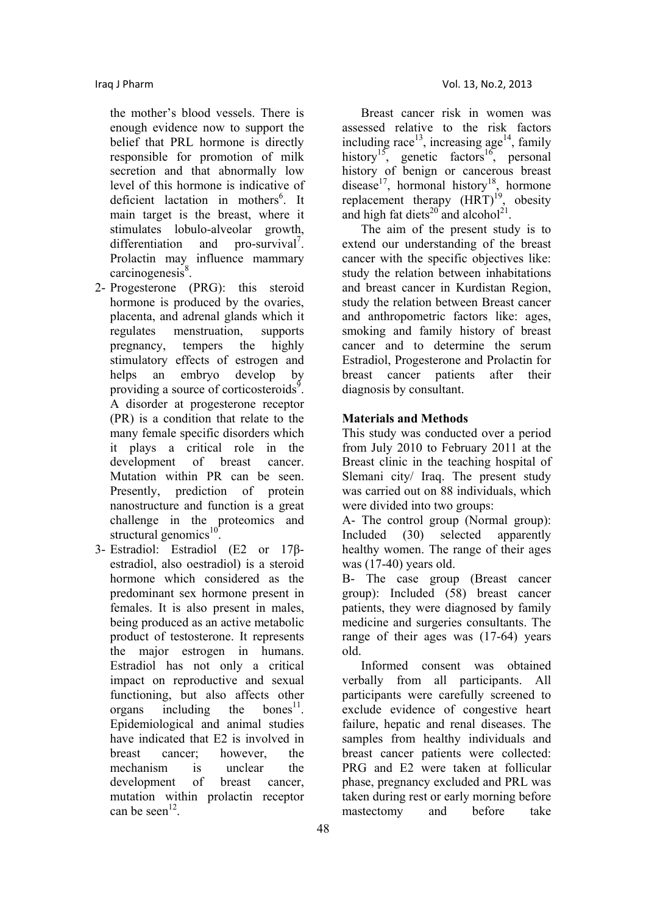the mother's blood vessels. There is enough evidence now to support the belief that PRL hormone is directly responsible for promotion of milk secretion and that abnormally low level of this hormone is indicative of deficient lactation in mothers<sup>6</sup>. It main target is the breast, where it stimulates lobulo-alveolar growth, differentiation and pro-survival<sup>7</sup>. Prolactin may influence mammary  $carcinogenesis<sup>8</sup>$ .

- 2- Progesterone (PRG): this steroid hormone is produced by the ovaries, placenta, and adrenal glands which it regulates menstruation, supports pregnancy, tempers the highly stimulatory effects of estrogen and helps an embryo develop by providing a source of corticosteroids<sup> $9$ </sup>. A disorder at progesterone receptor (PR) is a condition that relate to the many female specific disorders which it plays a critical role in the development of breast cancer. Mutation within PR can be seen. Presently, prediction of protein nanostructure and function is a great challenge in the proteomics and structural genomics $10$
- 3- Estradiol: Estradiol (E2 or 17βestradiol, also oestradiol) is a steroid hormone which considered as the predominant sex hormone present in females. It is also present in males, being produced as an active metabolic product of testosterone. It represents the major estrogen in humans. Estradiol has not only a critical impact on reproductive and sexual functioning, but also affects other organs including the bones<sup>11</sup>. Epidemiological and animal studies have indicated that E2 is involved in breast cancer; however the mechanism is unclear the development of breast cancer, mutation within prolactin receptor can be seen $^{12}$ .

Breast cancer risk in women was assessed relative to the risk factors including race<sup>13</sup>, increasing age<sup>14</sup>, family history<sup>15</sup>, genetic factors<sup>16</sup>, personal history of benign or cancerous breast disease<sup>17</sup>, hormonal history<sup>18</sup>, hormone replacement therapy  $(HRT)^{19}$ , obesity and high fat diets<sup>20</sup> and alcohol<sup>21</sup>.

The aim of the present study is to extend our understanding of the breast cancer with the specific objectives like: study the relation between inhabitations and breast cancer in Kurdistan Region, study the relation between Breast cancer and anthropometric factors like: ages, smoking and family history of breast cancer and to determine the serum Estradiol, Progesterone and Prolactin for breast cancer patients after their diagnosis by consultant.

## **Materials and Methods**

This study was conducted over a period from July 2010 to February 2011 at the Breast clinic in the teaching hospital of Slemani city/ Iraq. The present study was carried out on 88 individuals, which were divided into two groups:

A- The control group (Normal group): Included (30) selected apparently healthy women. The range of their ages was (17-40) years old.

B- The case group (Breast cancer group): Included (58) breast cancer patients, they were diagnosed by family medicine and surgeries consultants. The range of their ages was (17-64) years old.

Informed consent was obtained verbally from all participants. All participants were carefully screened to exclude evidence of congestive heart failure, hepatic and renal diseases. The samples from healthy individuals and breast cancer patients were collected: PRG and E2 were taken at follicular phase, pregnancy excluded and PRL was taken during rest or early morning before mastectomy and before take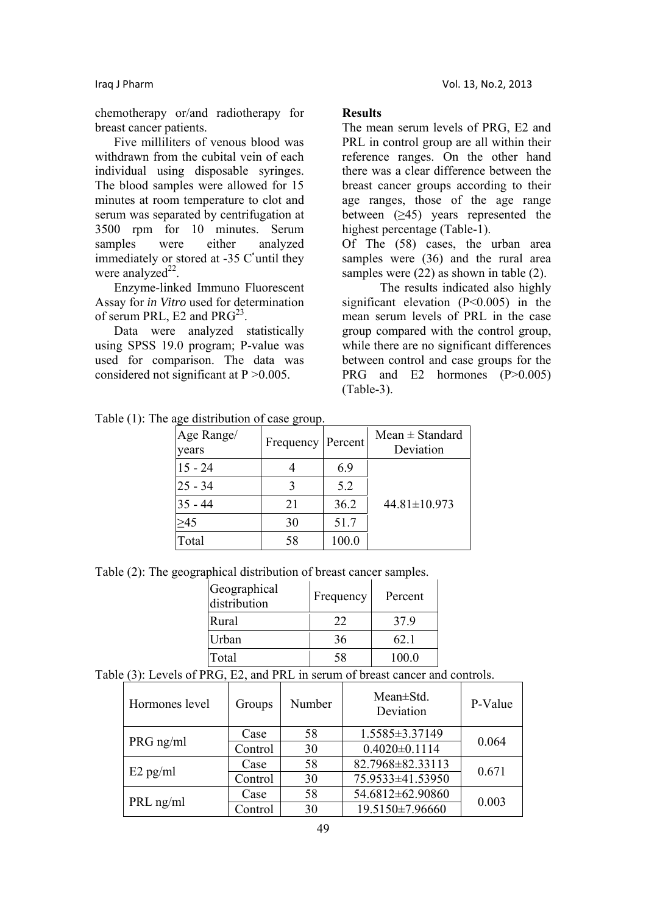chemotherapy or/and radiotherapy for breast cancer patients.

Five milliliters of venous blood was withdrawn from the cubital vein of each individual using disposable syringes. The blood samples were allowed for 15 minutes at room temperature to clot and serum was separated by centrifugation at 3500 rpm for 10 minutes. Serum samples were either analyzed immediately or stored at  $-35$  C'until they were analyzed $^{22}$ .

Enzyme-linked Immuno Fluorescent Assay for *in Vitro* used for determination of serum PRL, E2 and  $PRG^{23}$ .

Data were analyzed statistically using SPSS 19.0 program; P-value was used for comparison. The data was considered not significant at  $P > 0.005$ .

## **Results**

The mean serum levels of PRG, E2 and PRL in control group are all within their reference ranges. On the other hand there was a clear difference between the breast cancer groups according to their age ranges, those of the age range between  $(≥45)$  years represented the highest percentage (Table-1).

Of The (58) cases, the urban area samples were (36) and the rural area samples were  $(22)$  as shown in table  $(2)$ .

The results indicated also highly significant elevation (P<0.005) in the mean serum levels of PRL in the case group compared with the control group, while there are no significant differences between control and case groups for the PRG and E2 hormones (P>0.005) (Table-3).

| $\mu_{\rm N}$ and $\mu_{\rm O}$ and $\mu_{\rm O}$ and $\mu_{\rm O}$ and $\mu_{\rm O}$ |           |         |                                  |  |
|---------------------------------------------------------------------------------------|-----------|---------|----------------------------------|--|
| Age Range/<br>years                                                                   | Frequency | Percent | $Mean \pm Standard$<br>Deviation |  |
| $15 - 24$                                                                             |           | 6.9     |                                  |  |
| l25 - 34                                                                              |           | 5.2     |                                  |  |
| $35 - 44$                                                                             | 21        | 36.2    | $44.81 \pm 10.973$               |  |
| >45                                                                                   | 30        | 51.7    |                                  |  |
| Total                                                                                 | 58        | 100.0   |                                  |  |

Table (1): The age distribution of case group.

Table (2): The geographical distribution of breast cancer samples.

| Geographical<br>distribution | Frequency | Percent |
|------------------------------|-----------|---------|
| Rural                        | 22        | 379     |
| Urban                        | 36        | 62.1    |
| Total                        | 58        | 100.0   |

Table (3): Levels of PRG, E2, and PRL in serum of breast cancer and controls.

| Hormones level | Groups  | Number | $Mean \pm Std$ .<br>Deviation | P-Value |
|----------------|---------|--------|-------------------------------|---------|
| PRG ng/ml      | Case    | 58     | 1.5585±3.37149                | 0.064   |
|                | Control | 30     | $0.4020 \pm 0.1114$           |         |
| $E2$ pg/ml     | Case    | 58     | 82.7968±82.33113              | 0.671   |
|                | Control | 30     | 75.9533±41.53950              |         |
|                | Case    | 58     | 54.6812±62.90860              | 0.003   |
| PRL ng/ml      | Control | 30     | 19.5150±7.96660               |         |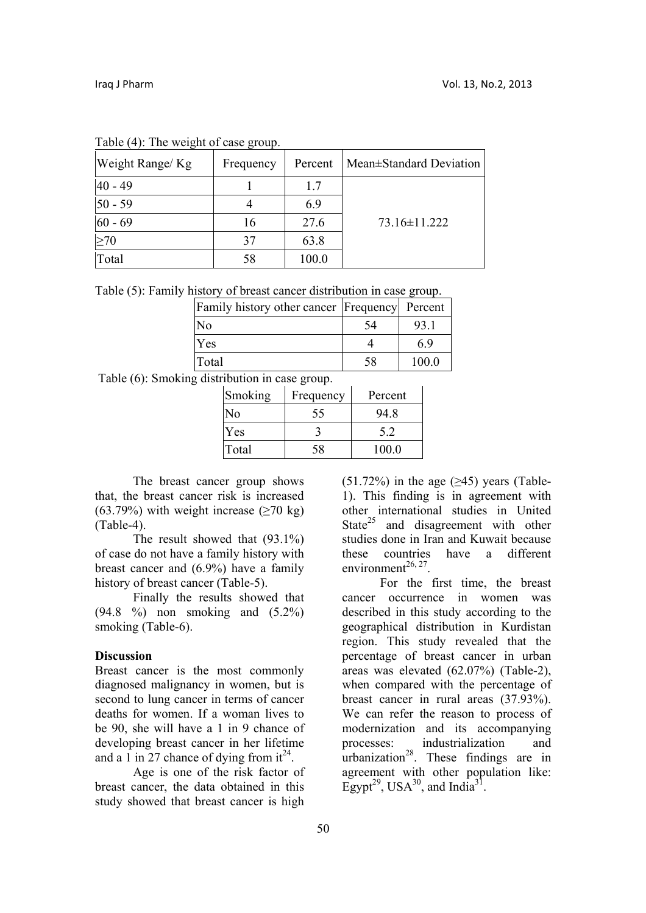| Weight Range/ Kg | Frequency | Percent | Mean±Standard Deviation |
|------------------|-----------|---------|-------------------------|
| 40 - 49          |           | 1.7     |                         |
| $50 - 59$        |           | 6.9     |                         |
| $60 - 69$        | 16        | 27.6    | 73.16±11.222            |
| $\geq 70$        | 37        | 63.8    |                         |
| Total            | 58        | 100.0   |                         |

Table (4): The weight of case group.

Table (5): Family history of breast cancer distribution in case group.

| Family history other cancer   Frequency   Percent |    |      |
|---------------------------------------------------|----|------|
| No                                                | 54 | 93.1 |
| Yes                                               |    | 69   |
| Total                                             | 58 | 1000 |

Table (6): Smoking distribution in case group.

| Smoking | Frequency | Percent |
|---------|-----------|---------|
| N٥      | 55        | 94.8    |
| Yes     |           | 52      |
| Total   | 58        | 100.0   |

The breast cancer group shows that, the breast cancer risk is increased (63.79%) with weight increase ( $\geq$ 70 kg) (Table-4).

The result showed that (93.1%) of case do not have a family history with breast cancer and (6.9%) have a family history of breast cancer (Table-5).

Finally the results showed that (94.8 %) non smoking and (5.2%) smoking (Table-6).

## **Discussion**

Breast cancer is the most commonly diagnosed malignancy in women, but is second to lung cancer in terms of cancer deaths for women. If a woman lives to be 90, she will have a 1 in 9 chance of developing breast cancer in her lifetime and a 1 in 27 chance of dying from  $it^{24}$ .

Age is one of the risk factor of breast cancer, the data obtained in this study showed that breast cancer is high

 $(51.72\%)$  in the age ( $\geq$ 45) years (Table-1). This finding is in agreement with other international studies in United State $25$  and disagreement with other studies done in Iran and Kuwait because these countries have a different environment $^{26, 27}$ . For the first time, the breast

cancer occurrence in women was described in this study according to the geographical distribution in Kurdistan region. This study revealed that the percentage of breast cancer in urban areas was elevated (62.07%) (Table-2), when compared with the percentage of breast cancer in rural areas (37.93%). We can refer the reason to process of modernization and its accompanying processes: industrialization and urbanization<sup>28</sup>. These findings are in agreement with other population like: Egypt<sup>29</sup>, USA<sup>30</sup>, and India<sup>31</sup>.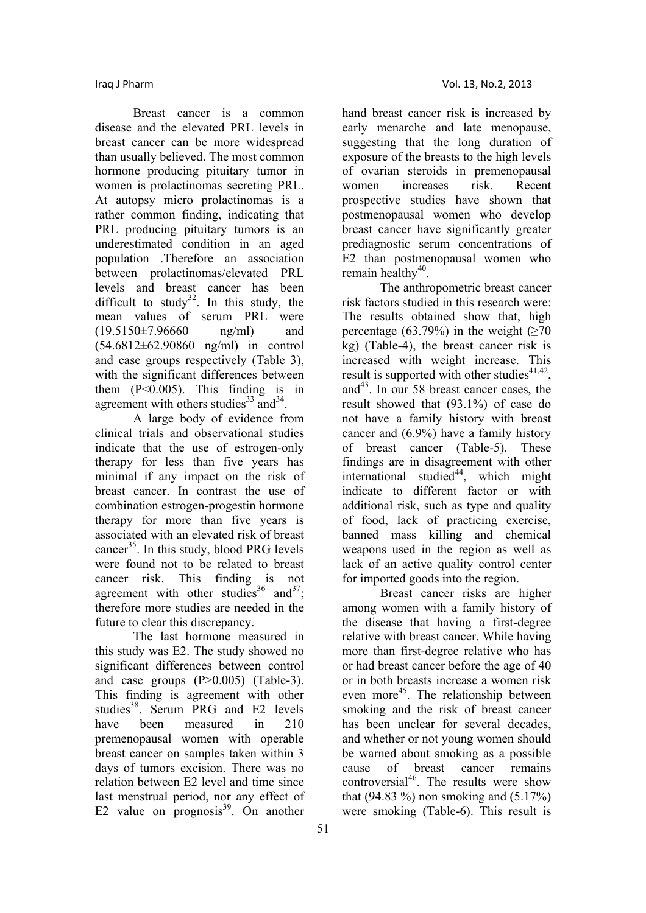Breast cancer is a common disease and the elevated PRL levels in breast cancer can be more widespread than usually believed. The most common hormone producing pituitary tumor in women is prolactinomas secreting PRL. At autopsy micro prolactinomas is a rather common finding, indicating that PRL producing pituitary tumors is an underestimated condition in an aged population .Therefore an association between prolactinomas/elevated PRL levels and breast cancer has been difficult to study<sup>32</sup>. In this study, the mean values of serum PRL were  $(19.5150\pm7.96660$  ng/ml) and (54.6812±62.90860 ng/ml) in control and case groups respectively (Table 3), with the significant differences between them  $(P<0.005)$ . This finding is in agreement with others studies $33 \text{ and } 34$ .

A large body of evidence from clinical trials and observational studies indicate that the use of estrogen-only therapy for less than five years has minimal if any impact on the risk of breast cancer. In contrast the use of combination estrogen-progestin hormone therapy for more than five years is associated with an elevated risk of breast cancer<sup>35</sup>. In this study, blood PRG levels were found not to be related to breast cancer risk. This finding is not agreement with other studies<sup>36</sup> and<sup>37</sup>; therefore more studies are needed in the future to clear this discrepancy.

The last hormone measured in this study was E2. The study showed no significant differences between control and case groups (P>0.005) (Table-3). This finding is agreement with other studies<sup>38</sup>. Serum PRG and E2 levels have been measured in 210 premenopausal women with operable breast cancer on samples taken within 3 days of tumors excision. There was no relation between E2 level and time since last menstrual period, nor any effect of E2 value on  $\frac{1}{2}$  prognosis<sup>39</sup>. On another

hand breast cancer risk is increased by early menarche and late menopause, suggesting that the long duration of exposure of the breasts to the high levels of ovarian steroids in premenopausal women increases risk. Recent prospective studies have shown that postmenopausal women who develop breast cancer have significantly greater prediagnostic serum concentrations of E2 than postmenopausal women who remain healthy $40$ .

The anthropometric breast cancer risk factors studied in this research were: The results obtained show that, high percentage (63.79%) in the weight  $(≥70$ kg) (Table-4), the breast cancer risk is increased with weight increase. This result is supported with other studies $41,42$ . and $43$ . In our 58 breast cancer cases, the result showed that (93.1%) of case do not have a family history with breast cancer and (6.9%) have a family history of breast cancer (Table-5). These findings are in disagreement with other  $intermational$  studied<sup>44</sup>, which might indicate to different factor or with additional risk, such as type and quality of food, lack of practicing exercise, banned mass killing and chemical weapons used in the region as well as lack of an active quality control center for imported goods into the region.

Breast cancer risks are higher among women with a family history of the disease that having a first-degree relative with breast cancer. While having more than first-degree relative who has or had breast cancer before the age of 40 or in both breasts increase a women risk even more<sup>45</sup>. The relationship between smoking and the risk of breast cancer has been unclear for several decades, and whether or not young women should be warned about smoking as a possible cause of breast cancer remains controversial<sup>46</sup>. The results were show that (94.83 %) non smoking and  $(5.17\%)$ were smoking (Table-6). This result is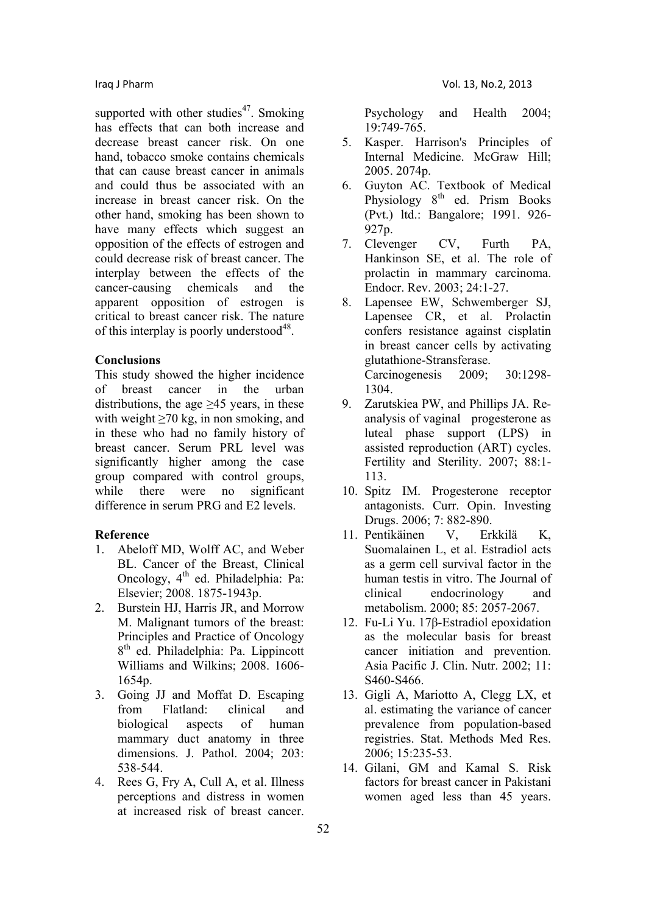supported with other studies<sup>47</sup>. Smoking has effects that can both increase and decrease breast cancer risk. On one hand, tobacco smoke contains chemicals that can cause breast cancer in animals and could thus be associated with an increase in breast cancer risk. On the other hand, smoking has been shown to have many effects which suggest an opposition of the effects of estrogen and could decrease risk of breast cancer. The interplay between the effects of the cancer-causing chemicals and the apparent opposition of estrogen is critical to breast cancer risk. The nature of this interplay is poorly understood<sup>48</sup>.

## **Conclusions**

This study showed the higher incidence of breast cancer in the urban distributions, the age  $\geq$ 45 years, in these with weight  $\geq 70$  kg, in non smoking, and in these who had no family history of breast cancer. Serum PRL level was significantly higher among the case group compared with control groups, while there were no significant difference in serum PRG and E2 levels.

#### **Reference**

- 1. Abeloff MD, Wolff AC, and Weber BL. Cancer of the Breast, Clinical Oncology, 4<sup>th</sup> ed. Philadelphia: Pa: Elsevier; 2008. 1875-1943p.
- 2. Burstein HJ, Harris JR, and Morrow M. Malignant tumors of the breast: Principles and Practice of Oncology 8th ed. Philadelphia: Pa. Lippincott Williams and Wilkins; 2008. 1606- 1654p.
- 3. Going JJ and Moffat D. Escaping from Flatland: clinical and biological aspects of human mammary duct anatomy in three dimensions. J. Pathol. 2004; 203: 538-544.
- 4. Rees G, Fry A, Cull A, et al. Illness perceptions and distress in women at increased risk of breast cancer.

Psychology and Health 2004; 19:749-765.

- 5. Kasper. Harrison's Principles of Internal Medicine. McGraw Hill; 2005. 2074p.
- 6. Guyton AC. Textbook of Medical Physiology  $8<sup>th</sup>$  ed. Prism Books (Pvt.) ltd.: Bangalore; 1991. 926- 927p.
- 7. Clevenger CV, Furth PA, Hankinson SE, et al. The role of prolactin in mammary carcinoma. Endocr. Rev. 2003; 24:1-27.
- 8. Lapensee EW, Schwemberger SJ, Lapensee CR, et al. Prolactin confers resistance against cisplatin in breast cancer cells by activating glutathione-Stransferase. Carcinogenesis 2009; 30:1298- 1304.
- 9. Zarutskiea PW, and Phillips JA. Reanalysis of vaginal progesterone as luteal phase support (LPS) in assisted reproduction (ART) cycles. Fertility and Sterility. 2007; 88:1- 113.
- 10. Spitz IM. Progesterone receptor antagonists. Curr. Opin. Investing Drugs. 2006; 7: 882-890.
- 11. Pentikäinen V, Erkkilä K, Suomalainen L, et al. Estradiol acts as a germ cell survival factor in the human testis in vitro. The Journal of clinical endocrinology and metabolism. 2000; 85: 2057-2067.
- 12. Fu-Li Yu. 17β-Estradiol epoxidation as the molecular basis for breast cancer initiation and prevention. Asia Pacific J. Clin. Nutr. 2002; 11: S460-S466.
- 13. Gigli A, Mariotto A, Clegg LX, et al. estimating the variance of cancer prevalence from population-based registries. Stat. Methods Med Res. 2006; 15:235-53.
- 14. Gilani, GM and Kamal S. Risk factors for breast cancer in Pakistani women aged less than 45 years.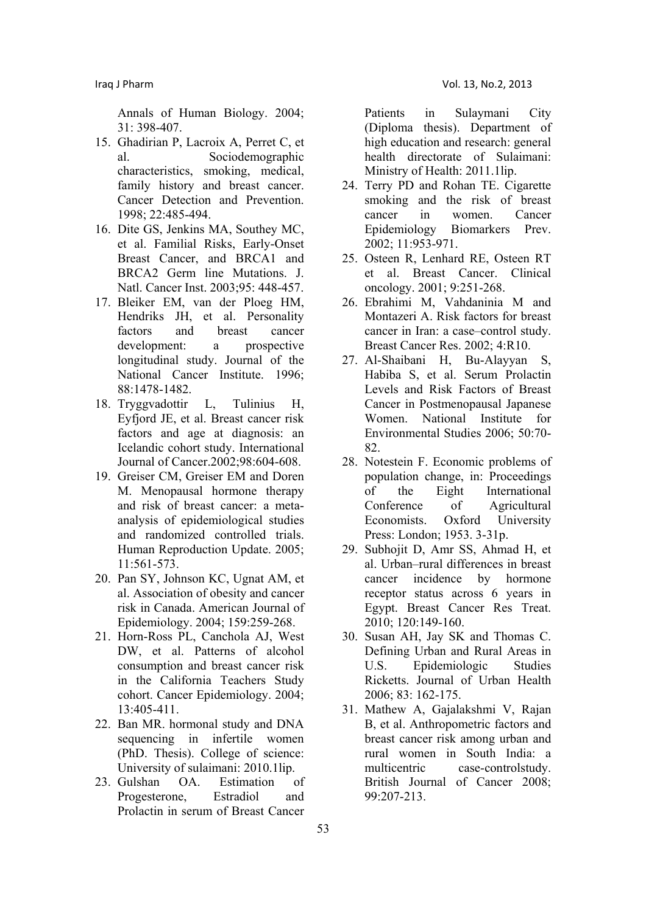Annals of Human Biology. 2004; 31: 398-407.

- 15. Ghadirian P, Lacroix A, Perret C, et al. Sociodemographic characteristics, smoking, medical, family history and breast cancer Cancer Detection and Prevention. 1998; 22:485-494.
- 16. Dite GS, Jenkins MA, Southey MC, et al. Familial Risks, Early-Onset Breast Cancer, and BRCA1 and BRCA2 Germ line Mutations. J. Natl. Cancer Inst. 2003;95: 448-457.
- 17. Bleiker EM, van der Ploeg HM, Hendriks JH, et al. Personality factors and breast cancer development: a prospective longitudinal study. Journal of the National Cancer Institute. 1996; 88:1478-1482.
- 18. Tryggvadottir L, Tulinius H, Eyfjord JE, et al. Breast cancer risk factors and age at diagnosis: an Icelandic cohort study. International Journal of Cancer.2002;98:604-608.
- 19. Greiser CM, Greiser EM and Doren M. Menopausal hormone therapy and risk of breast cancer: a metaanalysis of epidemiological studies and randomized controlled trials. Human Reproduction Update. 2005; 11:561-573.
- 20. Pan SY, Johnson KC, Ugnat AM, et al. Association of obesity and cancer risk in Canada. American Journal of Epidemiology. 2004; 159:259-268.
- 21. Horn-Ross PL, Canchola AJ, West DW, et al. Patterns of alcohol consumption and breast cancer risk in the California Teachers Study cohort. Cancer Epidemiology. 2004; 13:405-411.
- 22. Ban MR. hormonal study and DNA sequencing in infertile women (PhD. Thesis). College of science: University of sulaimani: 2010.1lip.
- 23. Gulshan OA. Estimation of Progesterone, Estradiol and Prolactin in serum of Breast Cancer

Patients in Sulaymani City (Diploma thesis). Department of high education and research: general health directorate of Sulaimani: Ministry of Health: 2011.1lip.

- 24. Terry PD and Rohan TE. Cigarette smoking and the risk of breast cancer in women Cancer Epidemiology Biomarkers Prev. 2002; 11:953-971.
- 25. Osteen R, Lenhard RE, Osteen RT et al. Breast Cancer. Clinical oncology. 2001; 9:251-268.
- 26. Ebrahimi M, Vahdaninia M and Montazeri A. Risk factors for breast cancer in Iran: a case–control study. Breast Cancer Res. 2002; 4:R10.
- 27. Al-Shaibani H, Bu-Alayyan S, Habiba S, et al. Serum Prolactin Levels and Risk Factors of Breast Cancer in Postmenopausal Japanese Women. National Institute for Environmental Studies 2006; 50:70- 82.
- 28. Notestein F. Economic problems of population change, in: Proceedings of the Eight International Conference of Agricultural Economists. Oxford University Press: London; 1953. 3-31p.
- 29. Subhojit D, Amr SS, Ahmad H, et al. Urban–rural differences in breast cancer incidence by hormone receptor status across 6 years in Egypt. Breast Cancer Res Treat. 2010; 120:149-160.
- 30. Susan AH, Jay SK and Thomas C. Defining Urban and Rural Areas in U.S. Epidemiologic Studies Ricketts. Journal of Urban Health 2006; 83: 162-175.
- 31. Mathew A, Gajalakshmi V, Rajan B, et al. Anthropometric factors and breast cancer risk among urban and rural women in South India: a multicentric case-controlstudy. British Journal of Cancer 2008; 99:207-213.